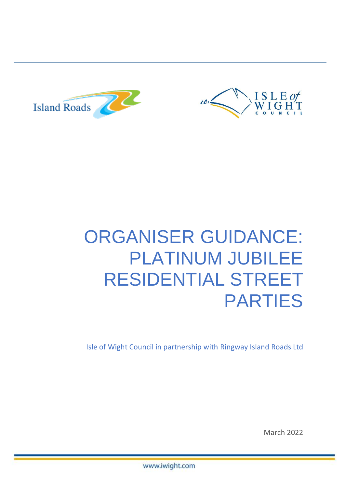



# ORGANISER GUIDANCE: PLATINUM JUBILEE RESIDENTIAL STREET PARTIES

Isle of Wight Council in partnership with Ringway Island Roads Ltd

March 2022

www.iwight.com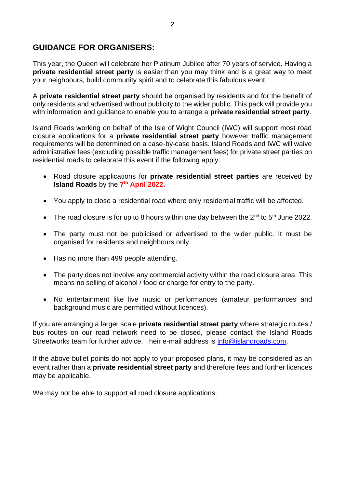### **GUIDANCE FOR ORGANISERS:**

This year, the Queen will celebrate her Platinum Jubilee after 70 years of service. Having a **private residential street party** is easier than you may think and is a great way to meet your neighbours, build community spirit and to celebrate this fabulous event.

A **private residential street party** should be organised by residents and for the benefit of only residents and advertised without publicity to the wider public. This pack will provide you with information and guidance to enable you to arrange a **private residential street party**.

Island Roads working on behalf of the Isle of Wight Council (IWC) will support most road closure applications for a **private residential street party** however traffic management requirements will be determined on a case-by-case basis. Island Roads and IWC will waive administrative fees (excluding possible traffic management fees) for private street parties on residential roads to celebrate this event if the following apply:

- Road closure applications for **private residential street parties** are received by **Island Roads** by the **7 th April 2022.**
- You apply to close a residential road where only residential traffic will be affected.
- The road closure is for up to 8 hours within one day between the  $2^{nd}$  to  $5^{th}$  June 2022.
- The party must not be publicised or advertised to the wider public. It must be organised for residents and neighbours only.
- Has no more than 499 people attending.
- The party does not involve any commercial activity within the road closure area. This means no selling of alcohol / food or charge for entry to the party.
- No entertainment like live music or performances (amateur performances and background music are permitted without licences).

If you are arranging a larger scale **private residential street party** where strategic routes / bus routes on our road network need to be closed, please contact the Island Roads Streetworks team for further advice. Their e-mail address is [info@islandroads.com.](mailto:info@islandroads.com)

If the above bullet points do not apply to your proposed plans, it may be considered as an event rather than a **private residential street party** and therefore fees and further licences may be applicable.

We may not be able to support all road closure applications.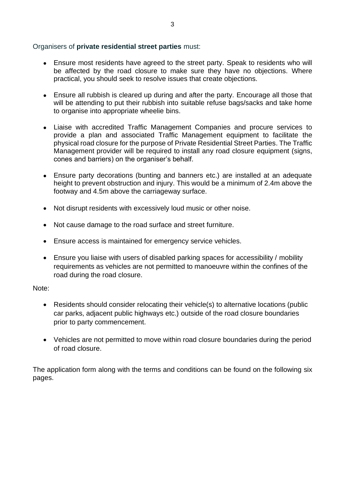#### Organisers of **private residential street parties** must:

- Ensure most residents have agreed to the street party. Speak to residents who will be affected by the road closure to make sure they have no objections. Where practical, you should seek to resolve issues that create objections.
- Ensure all rubbish is cleared up during and after the party. Encourage all those that will be attending to put their rubbish into suitable refuse bags/sacks and take home to organise into appropriate wheelie bins.
- Liaise with accredited Traffic Management Companies and procure services to provide a plan and associated Traffic Management equipment to facilitate the physical road closure for the purpose of Private Residential Street Parties. The Traffic Management provider will be required to install any road closure equipment (signs, cones and barriers) on the organiser's behalf.
- Ensure party decorations (bunting and banners etc.) are installed at an adequate height to prevent obstruction and injury. This would be a minimum of 2.4m above the footway and 4.5m above the carriageway surface.
- Not disrupt residents with excessively loud music or other noise.
- Not cause damage to the road surface and street furniture.
- Ensure access is maintained for emergency service vehicles.
- Ensure you liaise with users of disabled parking spaces for accessibility / mobility requirements as vehicles are not permitted to manoeuvre within the confines of the road during the road closure.

#### Note:

- Residents should consider relocating their vehicle(s) to alternative locations (public car parks, adjacent public highways etc.) outside of the road closure boundaries prior to party commencement.
- Vehicles are not permitted to move within road closure boundaries during the period of road closure.

The application form along with the terms and conditions can be found on the following six pages.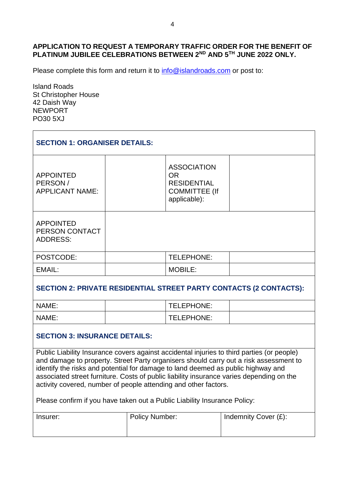#### **APPLICATION TO REQUEST A TEMPORARY TRAFFIC ORDER FOR THE BENEFIT OF PLATINUM JUBILEE CELEBRATIONS BETWEEN 2ND AND 5TH JUNE 2022 ONLY.**

Please complete this form and return it to [info@islandroads.com](mailto:info@islandroads.com) or post to:

Island Roads St Christopher House 42 Daish Way NEWPORT PO30 5XJ

| <b>SECTION 1: ORGANISER DETAILS:</b>                  |                                                                                               |  |  |  |
|-------------------------------------------------------|-----------------------------------------------------------------------------------------------|--|--|--|
| <b>APPOINTED</b><br>PERSON/<br><b>APPLICANT NAME:</b> | <b>ASSOCIATION</b><br><b>OR</b><br><b>RESIDENTIAL</b><br><b>COMMITTEE (If</b><br>applicable): |  |  |  |
| <b>APPOINTED</b><br>PERSON CONTACT<br><b>ADDRESS:</b> |                                                                                               |  |  |  |
| POSTCODE:                                             | TELEPHONE:                                                                                    |  |  |  |
| EMAIL:                                                | <b>MOBILE:</b>                                                                                |  |  |  |
|                                                       |                                                                                               |  |  |  |

#### **SECTION 2: PRIVATE RESIDENTIAL STREET PARTY CONTACTS (2 CONTACTS):**

| NAME: | TELEPHONE: |  |
|-------|------------|--|
| NAME: | TELEPHONE: |  |

#### **SECTION 3: INSURANCE DETAILS:**

Public Liability Insurance covers against accidental injuries to third parties (or people) and damage to property. Street Party organisers should carry out a risk assessment to identify the risks and potential for damage to land deemed as public highway and associated street furniture. Costs of public liability insurance varies depending on the activity covered, number of people attending and other factors.

Please confirm if you have taken out a Public Liability Insurance Policy:

| Insurer: | <b>Policy Number:</b> | Indemnity Cover (£): |  |  |  |
|----------|-----------------------|----------------------|--|--|--|
|          |                       |                      |  |  |  |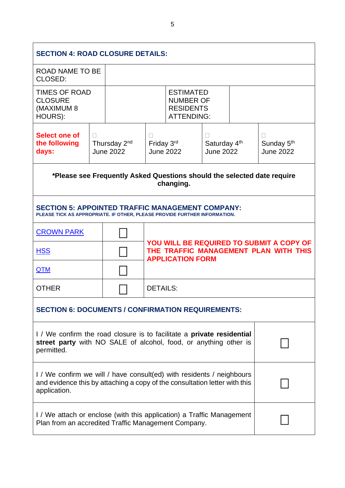| <b>SECTION 4: ROAD CLOSURE DETAILS:</b>                                                                                                                             |                                                                                      |                                                                                |                                                                                                              |  |                                              |  |                                            |
|---------------------------------------------------------------------------------------------------------------------------------------------------------------------|--------------------------------------------------------------------------------------|--------------------------------------------------------------------------------|--------------------------------------------------------------------------------------------------------------|--|----------------------------------------------|--|--------------------------------------------|
| <b>ROAD NAME TO BE</b><br>CLOSED:                                                                                                                                   |                                                                                      |                                                                                |                                                                                                              |  |                                              |  |                                            |
| <b>TIMES OF ROAD</b><br><b>CLOSURE</b><br>(MAXIMUM 8<br>HOURS):                                                                                                     |                                                                                      | <b>ESTIMATED</b><br><b>NUMBER OF</b><br><b>RESIDENTS</b><br><b>ATTENDING:</b>  |                                                                                                              |  |                                              |  |                                            |
| <b>Select one of</b><br>the following<br>days:                                                                                                                      | $\Box$                                                                               | Thursday 2 <sup>nd</sup><br>Friday 3rd<br><b>June 2022</b><br><b>June 2022</b> |                                                                                                              |  | Saturday 4 <sup>th</sup><br><b>June 2022</b> |  | Sunday 5 <sup>th</sup><br><b>June 2022</b> |
|                                                                                                                                                                     | *Please see Frequently Asked Questions should the selected date require<br>changing. |                                                                                |                                                                                                              |  |                                              |  |                                            |
| <b>SECTION 5: APPOINTED TRAFFIC MANAGEMENT COMPANY:</b><br>PLEASE TICK AS APPROPRIATE. IF OTHER, PLEASE PROVIDE FURTHER INFORMATION.                                |                                                                                      |                                                                                |                                                                                                              |  |                                              |  |                                            |
| <b>CROWN PARK</b>                                                                                                                                                   |                                                                                      |                                                                                |                                                                                                              |  |                                              |  |                                            |
| <b>HSS</b>                                                                                                                                                          |                                                                                      |                                                                                | YOU WILL BE REQUIRED TO SUBMIT A COPY OF<br>THE TRAFFIC MANAGEMENT PLAN WITH THIS<br><b>APPLICATION FORM</b> |  |                                              |  |                                            |
| <b>QTM</b>                                                                                                                                                          |                                                                                      |                                                                                |                                                                                                              |  |                                              |  |                                            |
| <b>OTHER</b>                                                                                                                                                        |                                                                                      |                                                                                | <b>DETAILS:</b>                                                                                              |  |                                              |  |                                            |
| <b>SECTION 6: DOCUMENTS / CONFIRMATION REQUIREMENTS:</b>                                                                                                            |                                                                                      |                                                                                |                                                                                                              |  |                                              |  |                                            |
| I/ We confirm the road closure is to facilitate a <b>private residential</b><br>street party with NO SALE of alcohol, food, or anything other is<br>permitted.      |                                                                                      |                                                                                |                                                                                                              |  |                                              |  |                                            |
| I / We confirm we will / have consult(ed) with residents / neighbours<br>and evidence this by attaching a copy of the consultation letter with this<br>application. |                                                                                      |                                                                                |                                                                                                              |  |                                              |  |                                            |
| I / We attach or enclose (with this application) a Traffic Management<br>Plan from an accredited Traffic Management Company.                                        |                                                                                      |                                                                                |                                                                                                              |  |                                              |  |                                            |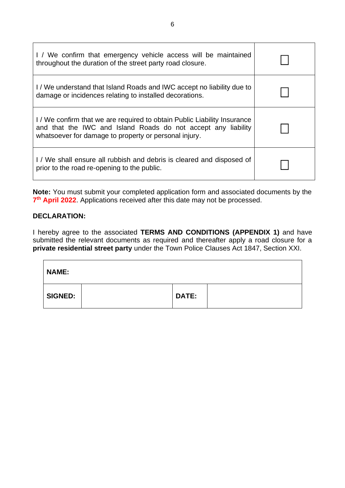| I / We confirm that emergency vehicle access will be maintained<br>throughout the duration of the street party road closure.                                                                     |  |
|--------------------------------------------------------------------------------------------------------------------------------------------------------------------------------------------------|--|
| I/We understand that Island Roads and IWC accept no liability due to<br>damage or incidences relating to installed decorations.                                                                  |  |
| I/We confirm that we are required to obtain Public Liability Insurance<br>and that the IWC and Island Roads do not accept any liability<br>whatsoever for damage to property or personal injury. |  |
| I / We shall ensure all rubbish and debris is cleared and disposed of<br>prior to the road re-opening to the public.                                                                             |  |

**Note:** You must submit your completed application form and associated documents by the 7<sup>th</sup> April 2022. Applications received after this date may not be processed.

#### **DECLARATION:**

 $\mathbf{r}$ 

I hereby agree to the associated **TERMS AND CONDITIONS (APPENDIX 1)** and have submitted the relevant documents as required and thereafter apply a road closure for a **private residential street party** under the Town Police Clauses Act 1847, Section XXI.

| <b>NAME:</b>   |              |  |
|----------------|--------------|--|
| <b>SIGNED:</b> | <b>DATE:</b> |  |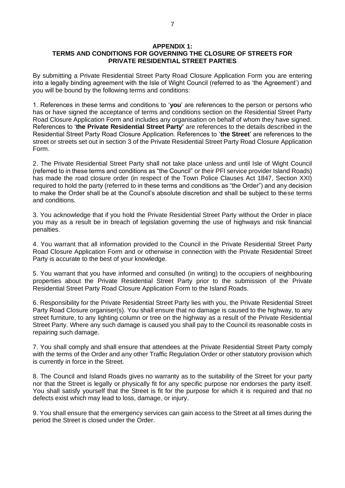#### **APPENDIX 1: TERMS AND CONDITIONS FOR GOVERNING THE CLOSURE OF STREETS FOR PRIVATE RESIDENTIAL STREET PARTIES**

By submitting a Private Residential Street Party Road Closure Application Form you are entering into a legally binding agreement with the Isle of Wight Council (referred to as 'the Agreement') and you will be bound by the following terms and conditions:

1. References in these terms and conditions to '**you**' are references to the person or persons who has or have signed the acceptance of terms and conditions section on the Residential Street Party Road Closure Application Form and includes any organisation on behalf of whom they have signed. References to '**the Private Residential Street Party'** are references to the details described in the Residential Street Party Road Closure Application. References to '**the Street**' are references to the street or streets set out in section 3 of the Private Residential Street Party Road Closure Application Form.

2. The Private Residential Street Party shall not take place unless and until Isle of Wight Council (referred to in these terms and conditions as "the Council" or their PFI service provider Island Roads) has made the road closure order (in respect of the Town Police Clauses Act 1847, Section XXI) required to hold the party (referred to in these terms and conditions as "the Order") and any decision to make the Order shall be at the Council's absolute discretion and shall be subject to these terms and conditions.

3. You acknowledge that if you hold the Private Residential Street Party without the Order in place you may as a result be in breach of legislation governing the use of highways and risk financial penalties.

4. You warrant that all information provided to the Council in the Private Residential Street Party Road Closure Application Form and or otherwise in connection with the Private Residential Street Party is accurate to the best of your knowledge.

5. You warrant that you have informed and consulted (in writing) to the occupiers of neighbouring properties about the Private Residential Street Party prior to the submission of the Private Residential Street Party Road Closure Application Form to the Island Roads.

6. Responsibility for the Private Residential Street Party lies with you, the Private Residential Street Party Road Closure organiser(s). You shall ensure that no damage is caused to the highway, to any street furniture, to any lighting column or tree on the highway as a result of the Private Residential Street Party. Where any such damage is caused you shall pay to the Council its reasonable costs in repairing such damage.

7. You shall comply and shall ensure that attendees at the Private Residential Street Party comply with the terms of the Order and any other Traffic Regulation Order or other statutory provision which is currently in force in the Street.

8. The Council and Island Roads gives no warranty as to the suitability of the Street for your party nor that the Street is legally or physically fit for any specific purpose nor endorses the party itself. You shall satisfy yourself that the Street is fit for the purpose for which it is required and that no defects exist which may lead to loss, damage, or injury.

9. You shall ensure that the emergency services can gain access to the Street at all times during the period the Street is closed under the Order.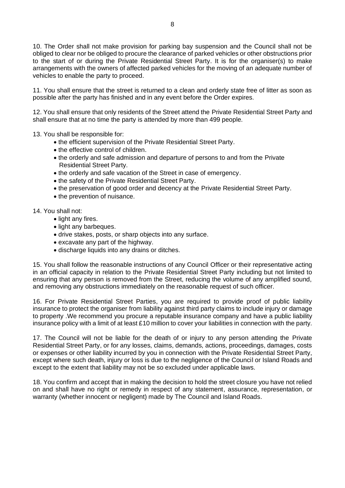10. The Order shall not make provision for parking bay suspension and the Council shall not be obliged to clear nor be obliged to procure the clearance of parked vehicles or other obstructions prior to the start of or during the Private Residential Street Party. It is for the organiser(s) to make arrangements with the owners of affected parked vehicles for the moving of an adequate number of vehicles to enable the party to proceed.

11. You shall ensure that the street is returned to a clean and orderly state free of litter as soon as possible after the party has finished and in any event before the Order expires.

12. You shall ensure that only residents of the Street attend the Private Residential Street Party and shall ensure that at no time the party is attended by more than 499 people.

13. You shall be responsible for:

- the efficient supervision of the Private Residential Street Party.
- the effective control of children.
- the orderly and safe admission and departure of persons to and from the Private Residential Street Party.
- the orderly and safe vacation of the Street in case of emergency.
- the safety of the Private Residential Street Party.
- the preservation of good order and decency at the Private Residential Street Party.
- the prevention of nuisance.

14. You shall not:

- light any fires.
- light any barbeques.
- drive stakes, posts, or sharp objects into any surface.
- excavate any part of the highway.
- discharge liquids into any drains or ditches.

15. You shall follow the reasonable instructions of any Council Officer or their representative acting in an official capacity in relation to the Private Residential Street Party including but not limited to ensuring that any person is removed from the Street, reducing the volume of any amplified sound, and removing any obstructions immediately on the reasonable request of such officer.

16. For Private Residential Street Parties, you are required to provide proof of public liability insurance to protect the organiser from liability against third party claims to include injury or damage to property .We recommend you procure a reputable insurance company and have a public liability insurance policy with a limit of at least £10 million to cover your liabilities in connection with the party.

17. The Council will not be liable for the death of or injury to any person attending the Private Residential Street Party, or for any losses, claims, demands, actions, proceedings, damages, costs or expenses or other liability incurred by you in connection with the Private Residential Street Party, except where such death, injury or loss is due to the negligence of the Council or Island Roads and except to the extent that liability may not be so excluded under applicable laws.

18. You confirm and accept that in making the decision to hold the street closure you have not relied on and shall have no right or remedy in respect of any statement, assurance, representation, or warranty (whether innocent or negligent) made by The Council and Island Roads.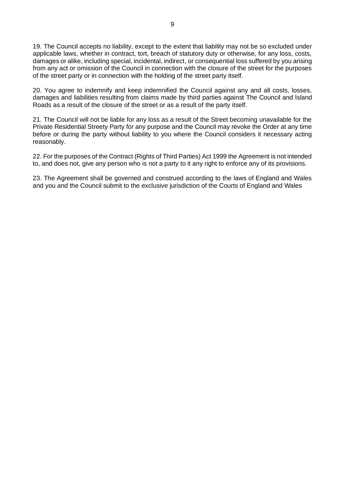19. The Council accepts no liability, except to the extent that liability may not be so excluded under applicable laws, whether in contract, tort, breach of statutory duty or otherwise, for any loss, costs, damages or alike, including special, incidental, indirect, or consequential loss suffered by you arising from any act or omission of the Council in connection with the closure of the street for the purposes of the street party or in connection with the holding of the street party itself.

20. You agree to indemnify and keep indemnified the Council against any and all costs, losses, damages and liabilities resulting from claims made by third parties against The Council and Island Roads as a result of the closure of the street or as a result of the party itself.

21. The Council will not be liable for any loss as a result of the Street becoming unavailable for the Private Residential Streety Party for any purpose and the Council may revoke the Order at any time before or during the party without liability to you where the Council considers it necessary acting reasonably.

22. For the purposes of the Contract (Rights of Third Parties) Act 1999 the Agreement is not intended to, and does not, give any person who is not a party to it any right to enforce any of its provisions.

23. The Agreement shall be governed and construed according to the laws of England and Wales and you and the Council submit to the exclusive jurisdiction of the Courts of England and Wales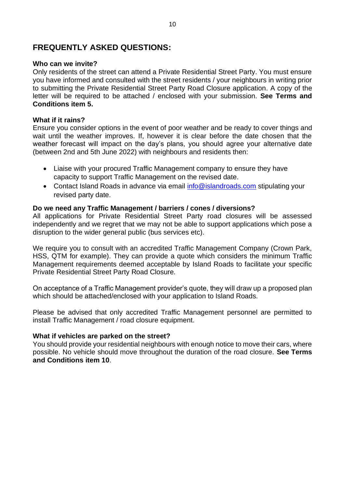### **FREQUENTLY ASKED QUESTIONS:**

#### **Who can we invite?**

Only residents of the street can attend a Private Residential Street Party. You must ensure you have informed and consulted with the street residents / your neighbours in writing prior to submitting the Private Residential Street Party Road Closure application. A copy of the letter will be required to be attached / enclosed with your submission. **See Terms and Conditions item 5.**

#### **What if it rains?**

Ensure you consider options in the event of poor weather and be ready to cover things and wait until the weather improves. If, however it is clear before the date chosen that the weather forecast will impact on the day's plans, you should agree your alternative date (between 2nd and 5th June 2022) with neighbours and residents then:

- Liaise with your procured Traffic Management company to ensure they have capacity to support Traffic Management on the revised date.
- Contact Island Roads in advance via email [info@islandroads.com](mailto:info@islandroads.com) stipulating your revised party date.

#### **Do we need any Traffic Management / barriers / cones / diversions?**

All applications for Private Residential Street Party road closures will be assessed independently and we regret that we may not be able to support applications which pose a disruption to the wider general public (bus services etc).

We require you to consult with an accredited Traffic Management Company (Crown Park, HSS, QTM for example). They can provide a quote which considers the minimum Traffic Management requirements deemed acceptable by Island Roads to facilitate your specific Private Residential Street Party Road Closure.

On acceptance of a Traffic Management provider's quote, they will draw up a proposed plan which should be attached/enclosed with your application to Island Roads.

Please be advised that only accredited Traffic Management personnel are permitted to install Traffic Management / road closure equipment.

#### **What if vehicles are parked on the street?**

You should provide your residential neighbours with enough notice to move their cars, where possible. No vehicle should move throughout the duration of the road closure. **See Terms and Conditions item 10**.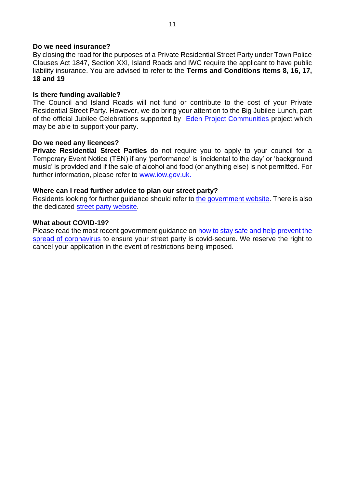#### **Do we need insurance?**

By closing the road for the purposes of a Private Residential Street Party under Town Police Clauses Act 1847, Section XXI, Island Roads and IWC require the applicant to have public liability insurance. You are advised to refer to the **Terms and Conditions items 8, 16, 17, 18 and 19**

#### **Is there funding available?**

The Council and Island Roads will not fund or contribute to the cost of your Private Residential Street Party. However, we do bring your attention to the Big Jubilee Lunch, part of the official Jubilee Celebrations supported by [Eden Project Communities](https://www.edenprojectcommunities.com/) project which may be able to support your party.

#### **Do we need any licences?**

**Private Residential Street Parties** do not require you to apply to your council for a Temporary Event Notice (TEN) if any 'performance' is 'incidental to the day' or 'background music' is provided and if the sale of alcohol and food (or anything else) is not permitted. For further information, please refer to [www.iow.gov.uk.](http://www.iow.gov.uk/)

#### **Where can I read further advice to plan our street party?**

Residents looking for further guidance should refer to [the government website.](https://www.gov.uk/government/publications/your-guide-to-organising-a-street-party/your-guide-to-organising-a-street-party) There is also the dedicated [street party website.](https://www.streetparty.org.uk/)

#### **What about COVID-19?**

Please read the most recent government guidance on [how to stay safe and help prevent the](https://www.gov.uk/guidance/covid-19-coronavirus-restrictions-what-you-can-and-cannot-do)  [spread of coronavirus](https://www.gov.uk/guidance/covid-19-coronavirus-restrictions-what-you-can-and-cannot-do) to ensure your street party is covid-secure. We reserve the right to cancel your application in the event of restrictions being imposed.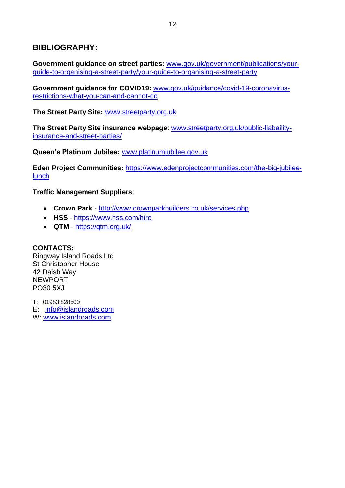## **BIBLIOGRAPHY:**

**Government guidance on street parties:** [www.gov.uk/government/publications/your](http://www.gov.uk/government/publications/your-guide-to-organising-a-street-party/your-guide-to-organising-a-street-party)[guide-to-organising-a-street-party/your-guide-to-organising-a-street-party](http://www.gov.uk/government/publications/your-guide-to-organising-a-street-party/your-guide-to-organising-a-street-party)

**Government guidance for COVID19:** [www.gov.uk/guidance/covid-19-coronavirus](http://www.gov.uk/guidance/covid-19-coronavirus-restrictions-what-you-can-and-cannot-do)[restrictions-what-you-can-and-cannot-do](http://www.gov.uk/guidance/covid-19-coronavirus-restrictions-what-you-can-and-cannot-do)

**The Street Party Site:** [www.streetparty.org.uk](https://www.streetparty.org.uk/)

**The Street Party Site insurance webpage**: [www.streetparty.org.uk/public-liabaility](http://www.streetparty.org.uk/public-liabaility-insurance-and-street-parties/)[insurance-and-street-parties/](http://www.streetparty.org.uk/public-liabaility-insurance-and-street-parties/)

**Queen's Platinum Jubilee:** [www.platinumjubilee.gov.uk](http://www.platinumjubilee.gov.uk/)

**Eden Project Communities: [https://www.edenprojectcommunities.com/the-big-jubilee](https://www.edenprojectcommunities.com/the-big-jubilee-lunch)**[lunch](https://www.edenprojectcommunities.com/the-big-jubilee-lunch)

**Traffic Management Suppliers**:

- **Crown Park** <http://www.crownparkbuilders.co.uk/services.php>
- **HSS** <https://www.hss.com/hire>
- **QTM** <https://qtm.org.uk/>

**CONTACTS:** Ringway Island Roads Ltd St Christopher House 42 Daish Way NEWPORT PO30 5XJ

T: 01983 828500 E: [info@islandroads.com](mailto:info@islandroads.com) W: [www.islandroads.com](http://www.islandroads.com/)